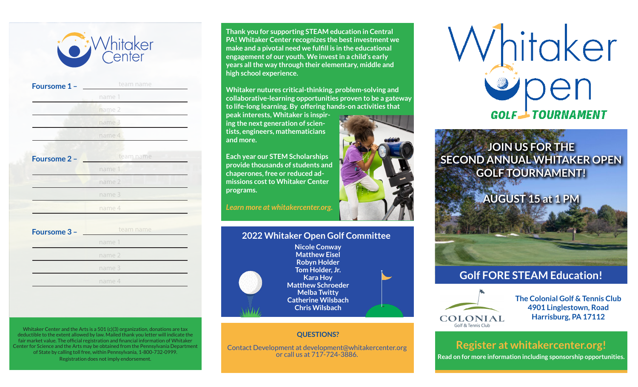

| Foursome 1 - | team name |
|--------------|-----------|
|              | name 1    |
|              | name 2    |
|              | name 3    |
|              | name 4    |
|              |           |
| Foursome 2 - | team name |
|              | name 1    |
|              | name 2    |
|              | name 3    |
|              | name 4    |
|              |           |
| Foursome 3 - | team name |
|              | name 1    |
|              | name 2    |
|              | name 3    |
|              |           |

Whitaker Center and the Arts is a 501 (c)(3) organization, donations are tax deductible to the extent allowed by law. Mailed thank you letter will indicate the fair market value. The official registration and financial information of Whitaker Center for Science and the Arts may be obtained from the Pennsylvania Department of State by calling toll free, within Pennsylvania, 1-800-732-0999. Registration does not imply endorsement.

**Thank you for supporting STEAM education in Central PA! Whitaker Center recognizes the best investment we make and a pivotal need we fulfill is in the educational engagement of our youth. We invest in a child's early years all the way through their elementary, middle and high school experience.**

**Whitaker nutures critical-thinking, problem-solving and collaborative-learning opportunities proven to be a gateway to life-long learning. By offering hands-on activities that** 

**peak interests, Whitaker is inspiring the next generation of scientists, engineers, mathematicians and more.**

**Each year our STEM Scholarships provide thousands of students and chaperones, free or reduced admissions cost to Whitaker Center programs.**

*Learn more at whitakercenter.org.*

## **2022 Whitaker Open Golf Committee**



**Nicole Conway Matthew Eisel Robyn Holder Tom Holder, Jr. Kara Hoy Matthew Schroeder Melba Twitty Catherine Wilsbach Chris Wilsbach**

## **QUESTIONS?**

Contact Development at development@whitakercenter.org or call us at 717-724-3886.





**JOIN US FOR THE SECOND ANNUAL WHITAKER OPEN GOLF TOURNAMENT!**

**AUGUST 15 at 1 PM**



## **Golf FORE STEAM Education!**



**The Colonial Golf & Tennis Club 4901 Linglestown, Road Harrisburg, PA 17112**

# **Register at whitakercenter.org!**

**Read on for more information including sponsorship opportunities.**